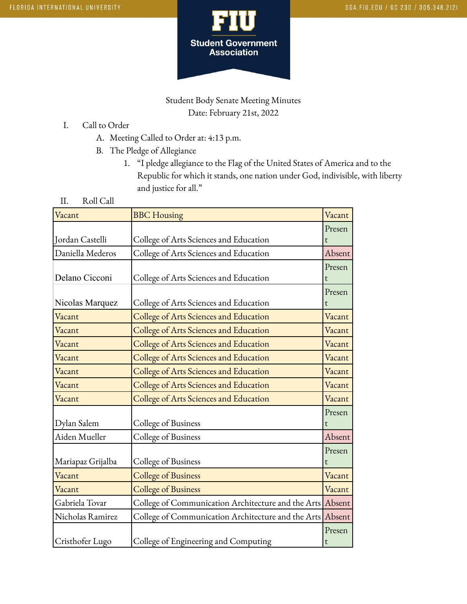

## Student Body Senate Meeting Minutes Date: February 21st, 2022

- I. Call to Order
	- A. Meeting Called to Order at: 4:13 p.m.
	- B. The Pledge of Allegiance
		- 1. "I pledge allegiance to the Flag of the United States of America and to the Republic for which it stands, one nation under God, indivisible, with liberty and justice for all."
- II. Roll Call

| Vacant            | <b>BBC</b> Housing                                 | Vacant |
|-------------------|----------------------------------------------------|--------|
|                   |                                                    | Presen |
| Jordan Castelli   | College of Arts Sciences and Education             |        |
| Daniella Mederos  | College of Arts Sciences and Education             | Absent |
|                   |                                                    | Presen |
| Delano Cicconi    | College of Arts Sciences and Education             | t      |
|                   |                                                    | Presen |
| Nicolas Marquez   | College of Arts Sciences and Education             | t      |
| Vacant            | College of Arts Sciences and Education             | Vacant |
| Vacant            | College of Arts Sciences and Education             | Vacant |
| Vacant            | College of Arts Sciences and Education             | Vacant |
| Vacant            | College of Arts Sciences and Education             | Vacant |
| Vacant            | College of Arts Sciences and Education             | Vacant |
| Vacant            | College of Arts Sciences and Education             | Vacant |
| Vacant            | College of Arts Sciences and Education             | Vacant |
|                   |                                                    | Presen |
| Dylan Salem       | College of Business                                |        |
| Aiden Mueller     | College of Business                                | Absent |
|                   |                                                    | Presen |
| Mariapaz Grijalba | College of Business                                | t      |
| Vacant            | <b>College of Business</b>                         | Vacant |
| Vacant            | <b>College of Business</b>                         | Vacant |
| Gabriela Tovar    | College of Communication Architecture and the Arts | Absent |
| Nicholas Ramirez  | College of Communication Architecture and the Arts | Absent |
|                   |                                                    | Presen |
| Cristhofer Lugo   | College of Engineering and Computing               | t      |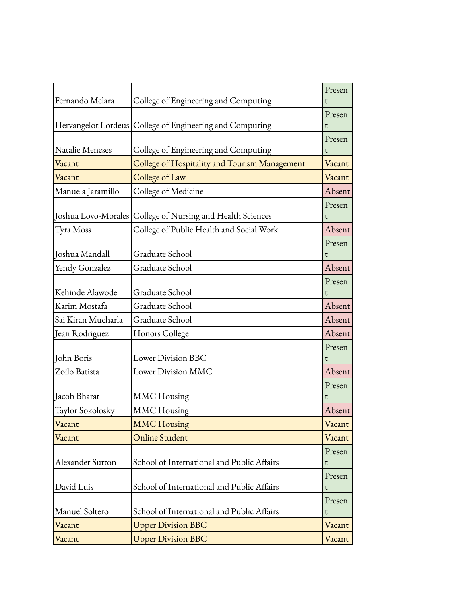|                    |                                                            | Presen      |
|--------------------|------------------------------------------------------------|-------------|
| Fernando Melara    | College of Engineering and Computing                       | t           |
|                    | Hervangelot Lordeus College of Engineering and Computing   | Presen<br>t |
|                    |                                                            | Presen      |
| Natalie Meneses    | College of Engineering and Computing                       | t           |
| Vacant             | College of Hospitality and Tourism Management              | Vacant      |
| Vacant             | College of Law                                             | Vacant      |
| Manuela Jaramillo  | College of Medicine                                        | Absent      |
|                    |                                                            | Presen      |
|                    | Joshua Lovo-Morales College of Nursing and Health Sciences | t           |
| Tyra Moss          | College of Public Health and Social Work                   | Absent      |
|                    |                                                            | Presen      |
| Joshua Mandall     | Graduate School                                            | t           |
| Yendy Gonzalez     | Graduate School                                            | Absent      |
|                    |                                                            | Presen      |
| Kehinde Alawode    | Graduate School                                            | t           |
| Karim Mostafa      | Graduate School                                            | Absent      |
| Sai Kiran Mucharla | Graduate School                                            | Absent      |
| Jean Rodriguez     | Honors College                                             | Absent      |
|                    |                                                            | Presen      |
| John Boris         | Lower Division BBC                                         |             |
| Zoilo Batista      | Lower Division MMC                                         | Absent      |
|                    |                                                            | Presen      |
| Jacob Bharat       | <b>MMC</b> Housing                                         | t           |
| Taylor Sokolosky   | <b>MMC</b> Housing                                         | Absent      |
| Vacant             | <b>MMC Housing</b>                                         | Vacant      |
| Vacant             | <b>Online Student</b>                                      | Vacant      |
|                    |                                                            | Presen      |
| Alexander Sutton   | School of International and Public Affairs                 | t           |
| David Luis         | School of International and Public Affairs                 | Presen<br>t |
|                    |                                                            | Presen      |
| Manuel Soltero     | School of International and Public Affairs                 | t           |
| Vacant             | <b>Upper Division BBC</b>                                  | Vacant      |
| Vacant             | <b>Upper Division BBC</b>                                  | Vacant      |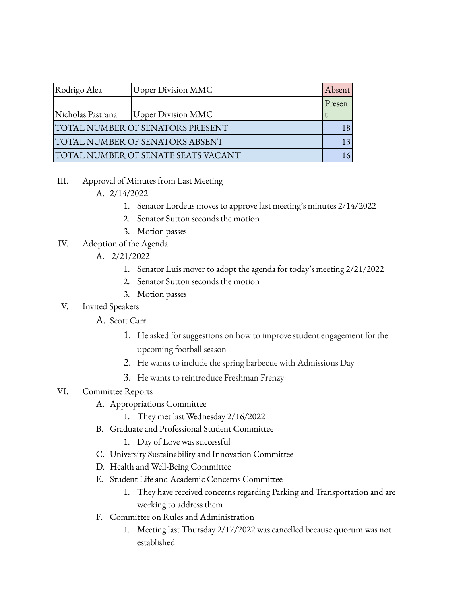| Rodrigo Alea                            | <b>Upper Division MMC</b> | Absent |
|-----------------------------------------|---------------------------|--------|
|                                         |                           | Presen |
| Nicholas Pastrana                       | <b>Upper Division MMC</b> |        |
| <b>TOTAL NUMBER OF SENATORS PRESENT</b> |                           |        |
| TOTAL NUMBER OF SENATORS ABSENT         |                           |        |
| TOTAL NUMBER OF SENATE SEATS VACANT     |                           |        |

III. Approval of Minutes from Last Meeting

## A. 2/14/2022

- 1. Senator Lordeus moves to approve last meeting's minutes 2/14/2022
- 2. Senator Sutton seconds the motion
- 3. Motion passes
- IV. Adoption of the Agenda
	- A. 2/21/2022
		- 1. Senator Luis mover to adopt the agenda for today's meeting 2/21/2022
		- 2. Senator Sutton seconds the motion
		- 3. Motion passes
- V. Invited Speakers
	- A. Scott Carr
		- 1. He asked for suggestions on how to improve student engagement for the upcoming football season
		- 2. He wants to include the spring barbecue with Admissions Day
		- 3. He wants to reintroduce Freshman Frenzy

## VI. Committee Reports

- A. Appropriations Committee
	- 1. They met last Wednesday 2/16/2022
- B. Graduate and Professional Student Committee
	- 1. Day of Love was successful
- C. University Sustainability and Innovation Committee
- D. Health and Well-Being Committee
- E. Student Life and Academic Concerns Committee
	- 1. They have received concerns regarding Parking and Transportation and are working to address them
- F. Committee on Rules and Administration
	- 1. Meeting last Thursday 2/17/2022 was cancelled because quorum was not established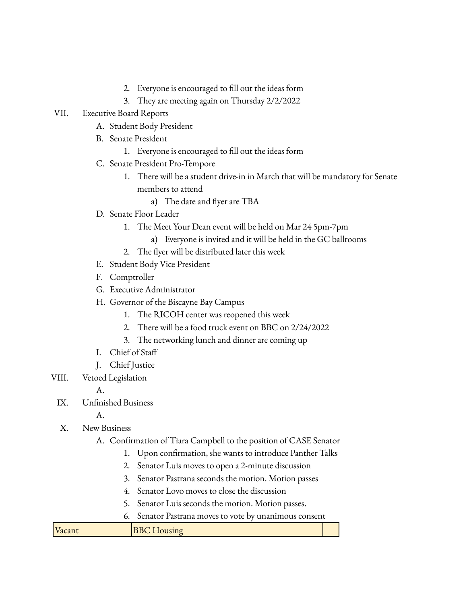- 2. Everyone is encouraged to fill out the ideas form
- 3. They are meeting again on Thursday 2/2/2022
- VII. Executive Board Reports
	- A. Student Body President
	- B. Senate President
		- 1. Everyone is encouraged to fill out the ideas form
	- C. Senate President Pro-Tempore
		- 1. There will be a student drive-in in March that will be mandatory for Senate members to attend
			- a) The date and flyer are TBA
	- D. Senate Floor Leader
		- 1. The Meet Your Dean event will be held on Mar 24 5pm-7pm
			- a) Everyone is invited and it will be held in the GC ballrooms
		- 2. The flyer will be distributed later this week
	- E. Student Body Vice President
	- F. Comptroller
	- G. Executive Administrator
	- H. Governor of the Biscayne Bay Campus
		- 1. The RICOH center was reopened this week
		- 2. There will be a food truck event on BBC on 2/24/2022
		- 3. The networking lunch and dinner are coming up
	- I. Chief of Staff
	- J. Chief Justice
- VIII. Vetoed Legislation

A.

IX. Unfinished Business

A.

- X. New Business
	- A. Confirmation of Tiara Campbell to the position of CASE Senator
		- 1. Upon confirmation, she wants to introduce Panther Talks
		- 2. Senator Luis moves to open a 2-minute discussion
		- 3. Senator Pastrana seconds the motion. Motion passes
		- 4. Senator Lovo moves to close the discussion
		- 5. Senator Luis seconds the motion. Motion passes.
		- 6. Senator Pastrana moves to vote by unanimous consent

| Vacant | <b>BBC</b> Housing |
|--------|--------------------|
|--------|--------------------|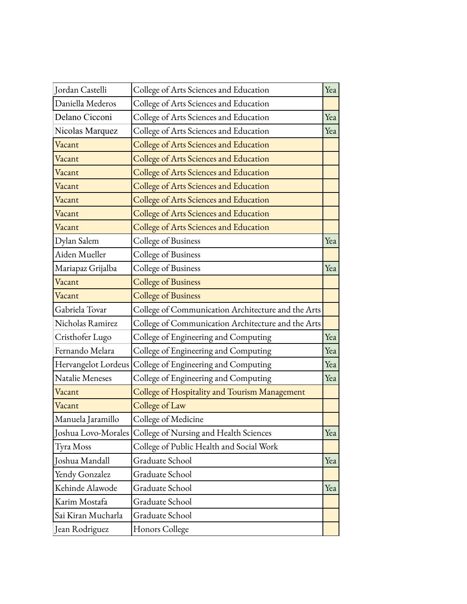| Jordan Castelli     | College of Arts Sciences and Education                     | Yea |
|---------------------|------------------------------------------------------------|-----|
| Daniella Mederos    | College of Arts Sciences and Education                     |     |
| Delano Cicconi      | College of Arts Sciences and Education                     | Yea |
| Nicolas Marquez     | College of Arts Sciences and Education                     | Yea |
| Vacant              | College of Arts Sciences and Education                     |     |
| Vacant              | College of Arts Sciences and Education                     |     |
| Vacant              | College of Arts Sciences and Education                     |     |
| Vacant              | College of Arts Sciences and Education                     |     |
| Vacant              | College of Arts Sciences and Education                     |     |
| Vacant              | College of Arts Sciences and Education                     |     |
| Vacant              | College of Arts Sciences and Education                     |     |
| Dylan Salem         | College of Business                                        | Yea |
| Aiden Mueller       | College of Business                                        |     |
| Mariapaz Grijalba   | College of Business                                        | Yea |
| Vacant              | <b>College of Business</b>                                 |     |
| Vacant              | <b>College of Business</b>                                 |     |
| Gabriela Tovar      | College of Communication Architecture and the Arts         |     |
| Nicholas Ramirez    | College of Communication Architecture and the Arts         |     |
| Cristhofer Lugo     | College of Engineering and Computing                       | Yea |
| Fernando Melara     | College of Engineering and Computing                       | Yea |
| Hervangelot Lordeus | College of Engineering and Computing                       | Yea |
| Natalie Meneses     | College of Engineering and Computing                       | Yea |
| Vacant              | College of Hospitality and Tourism Management              |     |
| Vacant              | College of Law                                             |     |
| Manuela Jaramillo   | College of Medicine                                        |     |
|                     | Joshua Lovo-Morales College of Nursing and Health Sciences | Yea |
| Tyra Moss           | College of Public Health and Social Work                   |     |
| Joshua Mandall      | Graduate School                                            | Yea |
| Yendy Gonzalez      | Graduate School                                            |     |
| Kehinde Alawode     | Graduate School                                            | Yea |
| Karim Mostafa       | Graduate School                                            |     |
| Sai Kiran Mucharla  | Graduate School                                            |     |
| Jean Rodriguez      | Honors College                                             |     |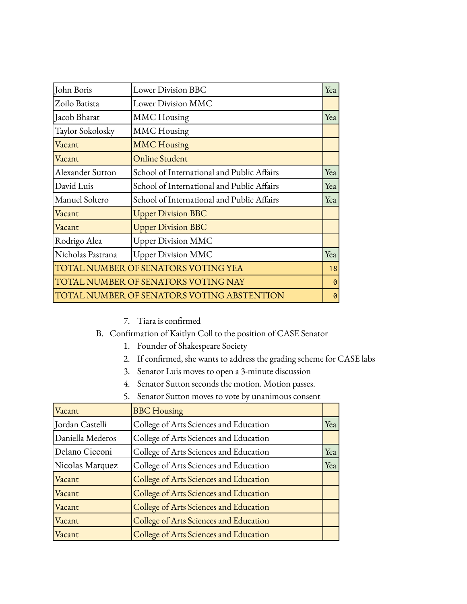| John Boris                                 | <b>Lower Division BBC</b>                  | Yea |
|--------------------------------------------|--------------------------------------------|-----|
| Zoilo Batista                              | Lower Division MMC                         |     |
| Jacob Bharat                               | <b>MMC</b> Housing                         | Yea |
| Taylor Sokolosky                           | <b>MMC</b> Housing                         |     |
| Vacant                                     | <b>MMC</b> Housing                         |     |
| Vacant                                     | <b>Online Student</b>                      |     |
| Alexander Sutton                           | School of International and Public Affairs | Yea |
| David Luis                                 | School of International and Public Affairs | Yea |
| Manuel Soltero                             | School of International and Public Affairs | Yea |
| Vacant                                     | <b>Upper Division BBC</b>                  |     |
| Vacant                                     | <b>Upper Division BBC</b>                  |     |
| Rodrigo Alea                               | <b>Upper Division MMC</b>                  |     |
| Nicholas Pastrana                          | <b>Upper Division MMC</b>                  | Yea |
| TOTAL NUMBER OF SENATORS VOTING YEA        |                                            | 18  |
| <b>TOTAL NUMBER OF SENATORS VOTING NAY</b> |                                            | 0   |
| TOTAL NUMBER OF SENATORS VOTING ABSTENTION |                                            | 0   |

- 7. Tiara is confirmed
- B. Confirmation of Kaitlyn Coll to the position of CASE Senator
	- 1. Founder of Shakespeare Society
	- 2. If confirmed, she wants to address the grading scheme for CASE labs
	- 3. Senator Luis moves to open a 3-minute discussion
	- 4. Senator Sutton seconds the motion. Motion passes.
	- 5. Senator Sutton moves to vote by unanimous consent

| Vacant           | <b>BBC</b> Housing                     |     |
|------------------|----------------------------------------|-----|
| Jordan Castelli  | College of Arts Sciences and Education | Yea |
| Daniella Mederos | College of Arts Sciences and Education |     |
| Delano Cicconi   | College of Arts Sciences and Education | Yea |
| Nicolas Marquez  | College of Arts Sciences and Education | Yea |
| Vacant           | College of Arts Sciences and Education |     |
| Vacant           | College of Arts Sciences and Education |     |
| Vacant           | College of Arts Sciences and Education |     |
| Vacant           | College of Arts Sciences and Education |     |
| Vacant           | College of Arts Sciences and Education |     |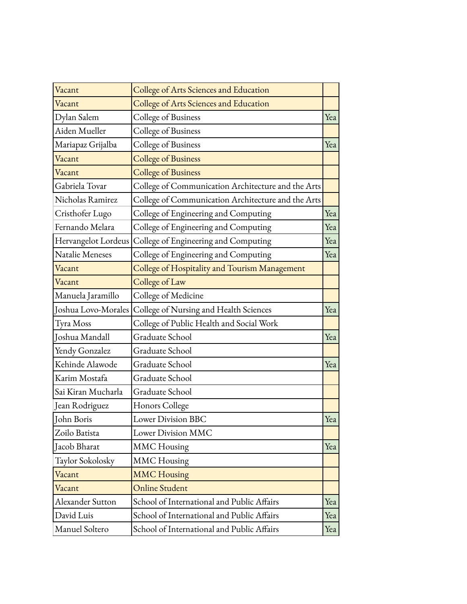| Vacant              | College of Arts Sciences and Education             |     |
|---------------------|----------------------------------------------------|-----|
| Vacant              | College of Arts Sciences and Education             |     |
| Dylan Salem         | College of Business                                | Yea |
| Aiden Mueller       | College of Business                                |     |
| Mariapaz Grijalba   | College of Business                                | Yea |
| Vacant              | <b>College of Business</b>                         |     |
| Vacant              | <b>College of Business</b>                         |     |
| Gabriela Tovar      | College of Communication Architecture and the Arts |     |
| Nicholas Ramirez    | College of Communication Architecture and the Arts |     |
| Cristhofer Lugo     | College of Engineering and Computing               | Yea |
| Fernando Melara     | College of Engineering and Computing               | Yea |
| Hervangelot Lordeus | College of Engineering and Computing               | Yea |
| Natalie Meneses     | College of Engineering and Computing               | Yea |
| Vacant              | College of Hospitality and Tourism Management      |     |
| Vacant              | College of Law                                     |     |
| Manuela Jaramillo   | College of Medicine                                |     |
| Joshua Lovo-Morales | College of Nursing and Health Sciences             | Yea |
| Tyra Moss           | College of Public Health and Social Work           |     |
| Joshua Mandall      | Graduate School                                    | Yea |
| Yendy Gonzalez      | Graduate School                                    |     |
| Kehinde Alawode     | Graduate School                                    | Yea |
| Karim Mostafa       | Graduate School                                    |     |
| Sai Kiran Mucharla  | Graduate School                                    |     |
| Jean Rodriguez      | Honors College                                     |     |
| <b>John Boris</b>   | <b>Lower Division BBC</b>                          | Yea |
| Zoilo Batista       | Lower Division MMC                                 |     |
| Jacob Bharat        | <b>MMC</b> Housing                                 | Yea |
| Taylor Sokolosky    | <b>MMC</b> Housing                                 |     |
| Vacant              | <b>MMC Housing</b>                                 |     |
| Vacant              | <b>Online Student</b>                              |     |
| Alexander Sutton    | School of International and Public Affairs         | Yea |
| David Luis          | School of International and Public Affairs         | Yea |
| Manuel Soltero      | School of International and Public Affairs         | Yea |